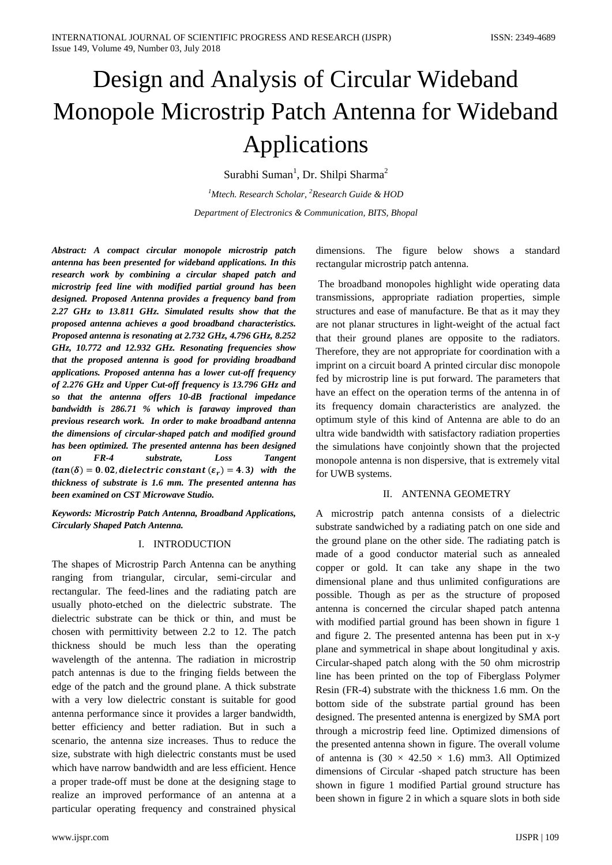# Design and Analysis of Circular Wideband Monopole Microstrip Patch Antenna for Wideband Applications

Surabhi Suman<sup>1</sup>, Dr. Shilpi Sharma<sup>2</sup>

*1 Mtech. Research Scholar, <sup>2</sup> Research Guide & HOD Department of Electronics & Communication, BITS, Bhopal*

*Abstract: A compact circular monopole microstrip patch antenna has been presented for wideband applications. In this research work by combining a circular shaped patch and microstrip feed line with modified partial ground has been designed. Proposed Antenna provides a frequency band from 2.27 GHz to 13.811 GHz. Simulated results show that the proposed antenna achieves a good broadband characteristics. Proposed antenna is resonating at 2.732 GHz, 4.796 GHz, 8.252 GHz, 10.772 and 12.932 GHz. Resonating frequencies show that the proposed antenna is good for providing broadband applications. Proposed antenna has a lower cut-off frequency of 2.276 GHz and Upper Cut-off frequency is 13.796 GHz and so that the antenna offers 10-dB fractional impedance bandwidth is 286.71 % which is faraway improved than previous research work. In order to make broadband antenna the dimensions of circular-shaped patch and modified ground has been optimized. The presented antenna has been designed on FR-4 substrate, Loss Tangent*   $(tan(\delta) = 0.02, dielectric constant (\varepsilon_r) = 4.3)$  with the *thickness of substrate is 1.6 mm. The presented antenna has been examined on CST Microwave Studio.*

*Keywords: Microstrip Patch Antenna, Broadband Applications, Circularly Shaped Patch Antenna.*

### I. INTRODUCTION

The shapes of Microstrip Parch Antenna can be anything ranging from triangular, circular, semi-circular and rectangular. The feed-lines and the radiating patch are usually photo-etched on the dielectric substrate. The dielectric substrate can be thick or thin, and must be chosen with permittivity between 2.2 to 12. The patch thickness should be much less than the operating wavelength of the antenna. The radiation in microstrip patch antennas is due to the fringing fields between the edge of the patch and the ground plane. A thick substrate with a very low dielectric constant is suitable for good antenna performance since it provides a larger bandwidth, better efficiency and better radiation. But in such a scenario, the antenna size increases. Thus to reduce the size, substrate with high dielectric constants must be used which have narrow bandwidth and are less efficient. Hence a proper trade-off must be done at the designing stage to realize an improved performance of an antenna at a particular operating frequency and constrained physical

dimensions. The figure below shows a standard rectangular microstrip patch antenna.

The broadband monopoles highlight wide operating data transmissions, appropriate radiation properties, simple structures and ease of manufacture. Be that as it may they are not planar structures in light-weight of the actual fact that their ground planes are opposite to the radiators. Therefore, they are not appropriate for coordination with a imprint on a circuit board A printed circular disc monopole fed by microstrip line is put forward. The parameters that have an effect on the operation terms of the antenna in of its frequency domain characteristics are analyzed. the optimum style of this kind of Antenna are able to do an ultra wide bandwidth with satisfactory radiation properties the simulations have conjointly shown that the projected monopole antenna is non dispersive, that is extremely vital for UWB systems.

#### II. ANTENNA GEOMETRY

A microstrip patch antenna consists of a dielectric substrate sandwiched by a radiating patch on one side and the ground plane on the other side. The radiating patch is made of a good conductor material such as annealed copper or gold. It can take any shape in the two dimensional plane and thus unlimited configurations are possible. Though as per as the structure of proposed antenna is concerned the circular shaped patch antenna with modified partial ground has been shown in figure 1 and figure 2. The presented antenna has been put in x-y plane and symmetrical in shape about longitudinal y axis. Circular-shaped patch along with the 50 ohm microstrip line has been printed on the top of Fiberglass Polymer Resin (FR-4) substrate with the thickness 1.6 mm. On the bottom side of the substrate partial ground has been designed. The presented antenna is energized by SMA port through a microstrip feed line. Optimized dimensions of the presented antenna shown in figure. The overall volume of antenna is  $(30 \times 42.50 \times 1.6)$  mm3. All Optimized dimensions of Circular -shaped patch structure has been shown in figure 1 modified Partial ground structure has been shown in figure 2 in which a square slots in both side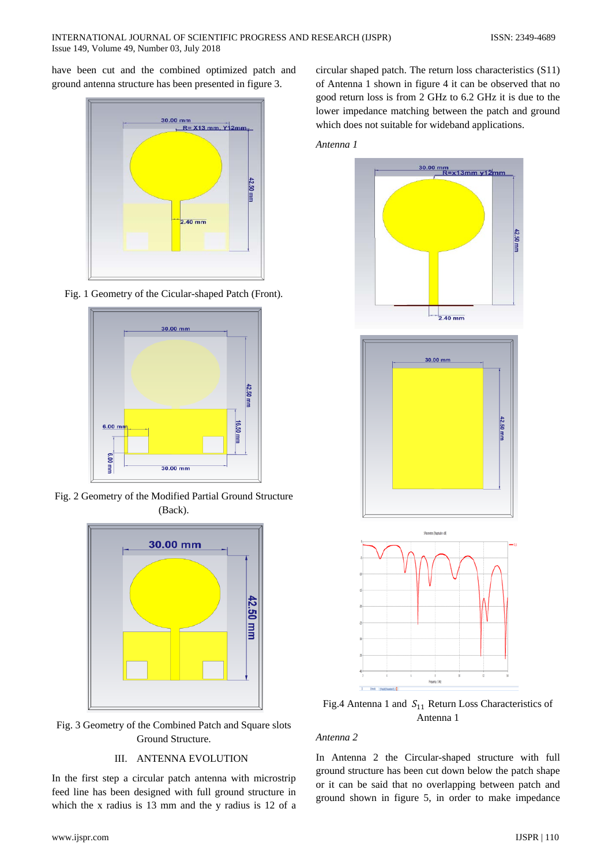have been cut and the combined optimized patch and ground antenna structure has been presented in figure 3.



Fig. 1 Geometry of the Cicular-shaped Patch (Front).



Fig. 2 Geometry of the Modified Partial Ground Structure (Back).



Fig. 3 Geometry of the Combined Patch and Square slots Ground Structure.

# III. ANTENNA EVOLUTION

In the first step a circular patch antenna with microstrip feed line has been designed with full ground structure in which the x radius is 13 mm and the y radius is 12 of a

circular shaped patch. The return loss characteristics (S11) of Antenna 1 shown in figure 4 it can be observed that no good return loss is from 2 GHz to 6.2 GHz it is due to the lower impedance matching between the patch and ground which does not suitable for wideband applications.

*Antenna 1*



Fig.4 Antenna 1 and  $S_{11}$  Return Loss Characteristics of Antenna 1

# *Antenna 2*

In Antenna 2 the Circular-shaped structure with full ground structure has been cut down below the patch shape or it can be said that no overlapping between patch and ground shown in figure 5, in order to make impedance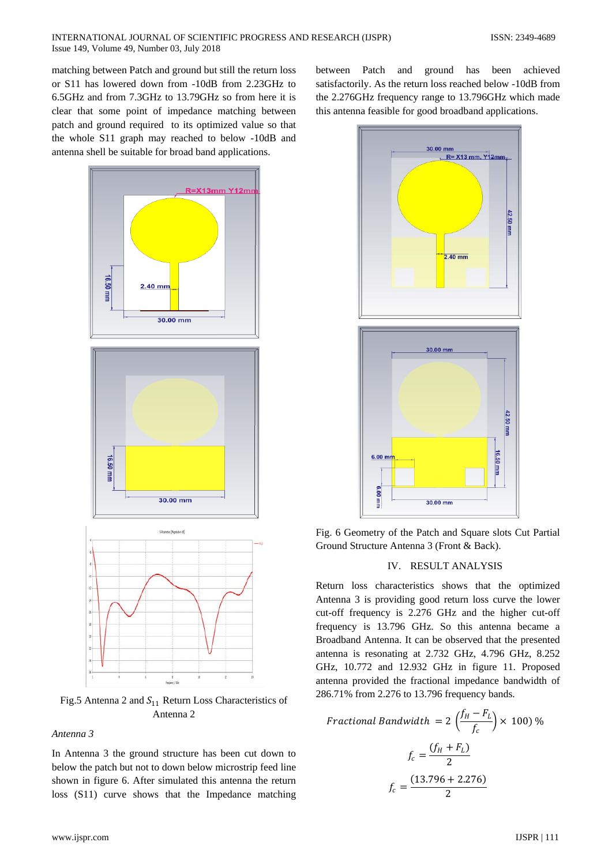matching between Patch and ground but still the return loss or S11 has lowered down from -10dB from 2.23GHz to 6.5GHz and from 7.3GHz to 13.79GHz so from here it is clear that some point of impedance matching between patch and ground required to its optimized value so that the whole S11 graph may reached to below -10dB and antenna shell be suitable for broad band applications.



Fig.5 Antenna 2 and  $S_{11}$  Return Loss Characteristics of Antenna 2

*Antenna 3*

In Antenna 3 the ground structure has been cut down to below the patch but not to down below microstrip feed line shown in figure 6. After simulated this antenna the return loss (S11) curve shows that the Impedance matching between Patch and ground has been achieved satisfactorily. As the return loss reached below -10dB from the 2.276GHz frequency range to 13.796GHz which made this antenna feasible for good broadband applications.



Fig. 6 Geometry of the Patch and Square slots Cut Partial Ground Structure Antenna 3 (Front & Back).

### IV. RESULT ANALYSIS

Return loss characteristics shows that the optimized Antenna 3 is providing good return loss curve the lower cut-off frequency is 2.276 GHz and the higher cut-off frequency is 13.796 GHz. So this antenna became a Broadband Antenna. It can be observed that the presented antenna is resonating at 2.732 GHz, 4.796 GHz, 8.252 GHz, 10.772 and 12.932 GHz in figure 11. Proposed antenna provided the fractional impedance bandwidth of 286.71% from 2.276 to 13.796 frequency bands.

$$
Fractional Bandwidth = 2\left(\frac{f_H - F_L}{f_c}\right) \times 100\frac{100}{100}
$$
\n
$$
f_c = \frac{(f_H + F_L)}{2}
$$
\n
$$
f_c = \frac{(13.796 + 2.276)}{2}
$$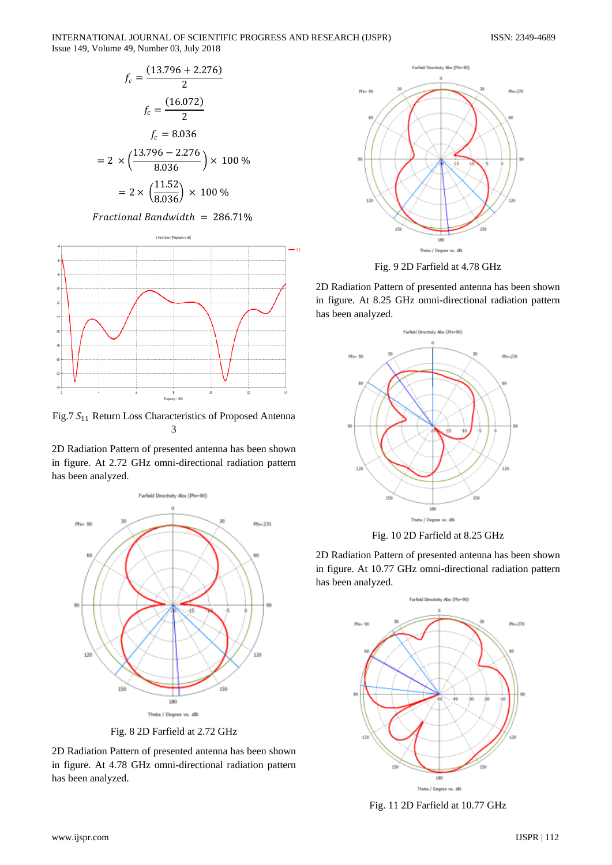

$$
f_c = \frac{(13.796 + 2.276)}{2}
$$

$$
f_c = \frac{(16.072)}{2}
$$

$$
f_c = 8.036
$$

$$
= 2 \times \left(\frac{13.796 - 2.276}{8.036}\right) \times 100\%
$$

$$
= 2 \times \left(\frac{11.52}{8.036}\right) \times 100\%
$$

### $Fractional Bandwidth = 286.71%$



Fig.7  $S_{11}$  Return Loss Characteristics of Proposed Antenna 3

2D Radiation Pattern of presented antenna has been shown in figure. At 2.72 GHz omni-directional radiation pattern has been analyzed.



Fig. 8 2D Farfield at 2.72 GHz

2D Radiation Pattern of presented antenna has been shown in figure. At 4.78 GHz omni-directional radiation pattern has been analyzed.



Fig. 9 2D Farfield at 4.78 GHz

2D Radiation Pattern of presented antenna has been shown in figure. At 8.25 GHz omni-directional radiation pattern has been analyzed.





2D Radiation Pattern of presented antenna has been shown in figure. At 10.77 GHz omni-directional radiation pattern has been analyzed.



Fig. 11 2D Farfield at 10.77 GHz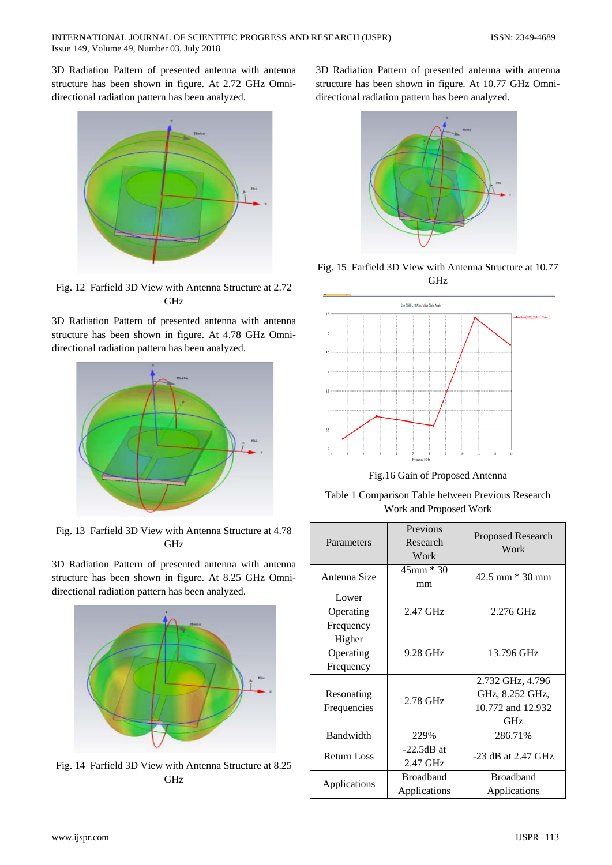3D Radiation Pattern of presented antenna with antenna structure has been shown in figure. At 2.72 GHz Omnidirectional radiation pattern has been analyzed.



Fig. 12 Farfield 3D View with Antenna Structure at 2.72 GHz

3D Radiation Pattern of presented antenna with antenna structure has been shown in figure. At 4.78 GHz Omnidirectional radiation pattern has been analyzed.



Fig. 13 Farfield 3D View with Antenna Structure at 4.78 GHz

3D Radiation Pattern of presented antenna with antenna structure has been shown in figure. At 8.25 GHz Omnidirectional radiation pattern has been analyzed.



Fig. 14 Farfield 3D View with Antenna Structure at 8.25 GHz

3D Radiation Pattern of presented antenna with antenna structure has been shown in figure. At 10.77 GHz Omnidirectional radiation pattern has been analyzed.



Fig. 15 Farfield 3D View with Antenna Structure at 10.77 GHz



Fig.16 Gain of Proposed Antenna

Table 1 Comparison Table between Previous Research Work and Proposed Work

| Parameters                       | Previous<br>Research<br>Work     | Proposed Research<br>Work                                       |
|----------------------------------|----------------------------------|-----------------------------------------------------------------|
| Antenna Size                     | 45mm * 30<br>mm                  | $42.5$ mm $*$ 30 mm                                             |
| Lower<br>Operating<br>Frequency  | 2.47 GHz                         | 2.276 GHz                                                       |
| Higher<br>Operating<br>Frequency | 9.28 GHz                         | 13.796 GHz                                                      |
| Resonating<br>Frequencies        | 2.78 GHz                         | 2.732 GHz, 4.796<br>GHz, 8.252 GHz,<br>10.772 and 12.932<br>GHz |
| Bandwidth                        | 229%                             | 286.71%                                                         |
| <b>Return Loss</b>               | $-22.5dB$ at<br>2.47 GHz         | $-23$ dB at 2.47 GHz                                            |
| Applications                     | <b>Broadband</b><br>Applications | <b>Broadband</b><br>Applications                                |